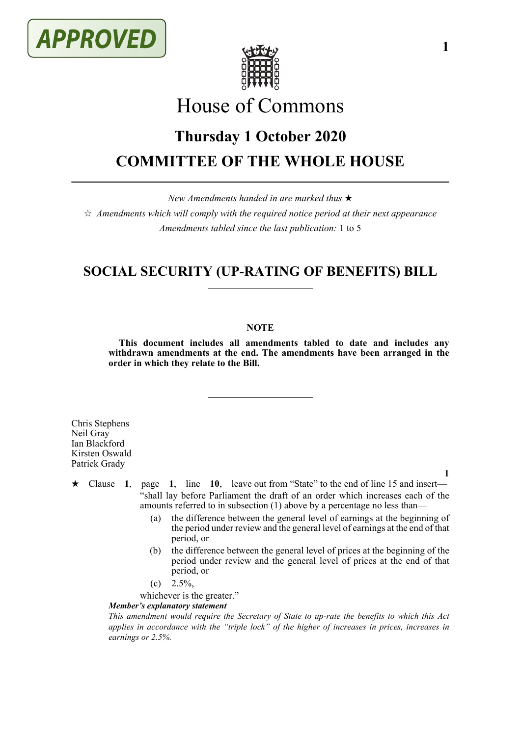



# House of Commons

# **Thursday 1 October 2020 COMMITTEE OF THE WHOLE HOUSE**

*New Amendments handed in are marked thus* 

 $\star$  *Amendments which will comply with the required notice period at their next appearance Amendments tabled since the last publication:* 1 to 5

# **SOCIAL SECURITY (UP-RATING OF BENEFITS) BILL**

#### **NOTE**

**This document includes all amendments tabled to date and includes any withdrawn amendments at the end. The amendments have been arranged in the order in which they relate to the Bill.**

Chris Stephens Neil Gray Ian Blackford Kirsten Oswald Patrick Grady

**1**

**1**

- $\star$  Clause 1, page 1, line 10, leave out from "State" to the end of line 15 and insert— "shall lay before Parliament the draft of an order which increases each of the amounts referred to in subsection (1) above by a percentage no less than—
	- (a) the difference between the general level of earnings at the beginning of the period under review and the general level of earnings at the end of that period, or
	- (b) the difference between the general level of prices at the beginning of the period under review and the general level of prices at the end of that period, or
	- $(c)$  2.5%,

whichever is the greater."

#### *Member's explanatory statement*

*This amendment would require the Secretary of State to up-rate the benefits to which this Act applies in accordance with the "triple lock" of the higher of increases in prices, increases in earnings or 2.5%.*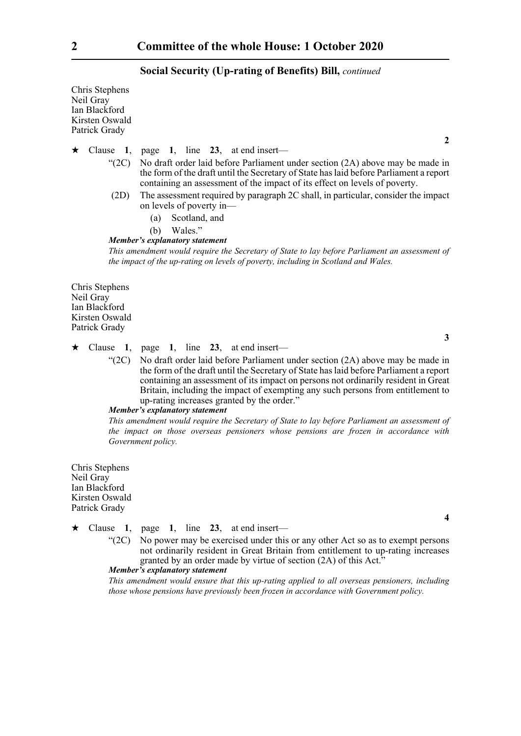#### **Social Security (Up-rating of Benefits) Bill,** *continued*

Chris Stephens Neil Gray Ian Blackford Kirsten Oswald Patrick Grady

 $\star$  Clause 1, page 1, line 23, at end insert—

- "(2C) No draft order laid before Parliament under section (2A) above may be made in the form of the draft until the Secretary of State has laid before Parliament a report containing an assessment of the impact of its effect on levels of poverty.
- (2D) The assessment required by paragraph 2C shall, in particular, consider the impact on levels of poverty in—
	- (a) Scotland, and
	- (b) Wales."

#### *Member's explanatory statement*

*This amendment would require the Secretary of State to lay before Parliament an assessment of the impact of the up-rating on levels of poverty, including in Scotland and Wales.*

Chris Stephens Neil Gray Ian Blackford Kirsten Oswald Patrick Grady

**3**

**4**

**2**

## $\star$  Clause 1, page 1, line 23, at end insert—

"(2C) No draft order laid before Parliament under section (2A) above may be made in the form of the draft until the Secretary of State has laid before Parliament a report containing an assessment of its impact on persons not ordinarily resident in Great Britain, including the impact of exempting any such persons from entitlement to up-rating increases granted by the order."

#### *Member's explanatory statement*

*This amendment would require the Secretary of State to lay before Parliament an assessment of the impact on those overseas pensioners whose pensions are frozen in accordance with Government policy.*

Chris Stephens Neil Gray Ian Blackford Kirsten Oswald Patrick Grady

- $\star$  Clause 1, page 1, line 23, at end insert—
	- "(2C) No power may be exercised under this or any other Act so as to exempt persons not ordinarily resident in Great Britain from entitlement to up-rating increases granted by an order made by virtue of section  $(2A)$  of this Act."

## *Member's explanatory statement*

*This amendment would ensure that this up-rating applied to all overseas pensioners, including those whose pensions have previously been frozen in accordance with Government policy.*